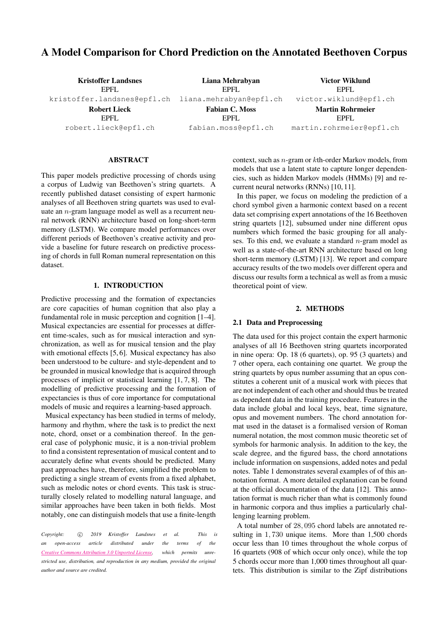# A Model Comparison for Chord Prediction on the Annotated Beethoven Corpus

| <b>Kristoffer Landsnes</b><br>EPFL | Liana Mehrabyan<br>EPFL | Victor Wiklund<br>EPFL   |
|------------------------------------|-------------------------|--------------------------|
| kristoffer.landsnes@epfl.ch        | liana.mehrabyan@epfl.ch | victor.wiklund@epfl.ch   |
| <b>Robert Lieck</b>                | <b>Fabian C. Moss</b>   | <b>Martin Rohrmeier</b>  |
| EPFL                               | EPFL                    | EPFL                     |
| robert.lieck@epfl.ch               | fabian.moss@epfl.ch     | martin.rohrmeier@epfl.ch |

### ABSTRACT

This paper models predictive processing of chords using a corpus of Ludwig van Beethoven's string quartets. A recently published dataset consisting of expert harmonic analyses of all Beethoven string quartets was used to evaluate an n-gram language model as well as a recurrent neural network (RNN) architecture based on long-short-term memory (LSTM). We compare model performances over different periods of Beethoven's creative activity and provide a baseline for future research on predictive processing of chords in full Roman numeral representation on this dataset.

## 1. INTRODUCTION

Predictive processing and the formation of expectancies are core capacities of human cognition that also play a fundamental role in music perception and cognition [\[1–](#page-3-0)[4\]](#page-3-1). Musical expectancies are essential for processes at different time-scales, such as for musical interaction and synchronization, as well as for musical tension and the play with emotional effects [\[5,](#page-3-2) [6\]](#page-3-3). Musical expectancy has also been understood to be culture- and style-dependent and to be grounded in musical knowledge that is acquired through processes of implicit or statistical learning [\[1,](#page-3-0) [7,](#page-3-4) [8\]](#page-3-5). The modelling of predictive processing and the formation of expectancies is thus of core importance for computational models of music and requires a learning-based approach.

Musical expectancy has been studied in terms of melody, harmony and rhythm, where the task is to predict the next note, chord, onset or a combination thereof. In the general case of polyphonic music, it is a non-trivial problem to find a consistent representation of musical content and to accurately define what events should be predicted. Many past approaches have, therefore, simplified the problem to predicting a single stream of events from a fixed alphabet, such as melodic notes or chord events. This task is structurally closely related to modelling natural language, and similar approaches have been taken in both fields. Most notably, one can distinguish models that use a finite-length

*Copyright:* c *2019 Kristoffer Landsnes et al. This is an open-access article distributed under the terms of the Creative Commons [Attribution](http://creativecommons.org/licenses/by/3.0/) 3.0 Unported License, which permits unrestricted use, distribution, and reproduction in any medium, provided the original author and source are credited.*

context, such as n-gram or kth-order Markov models, from models that use a latent state to capture longer dependencies, such as hidden Markov models (HMMs) [\[9\]](#page-3-6) and recurrent neural networks (RNNs) [\[10,](#page-3-7) [11\]](#page-3-8).

In this paper, we focus on modeling the prediction of a chord symbol given a harmonic context based on a recent data set comprising expert annotations of the 16 Beethoven string quartets [\[12\]](#page-3-9), subsumed under nine different opus numbers which formed the basic grouping for all analyses. To this end, we evaluate a standard  $n$ -gram model as well as a state-of-the-art RNN architecture based on long short-term memory (LSTM) [\[13\]](#page-3-10). We report and compare accuracy results of the two models over different opera and discuss our results form a technical as well as from a music theoretical point of view.

#### 2. METHODS

#### 2.1 Data and Preprocessing

The data used for this project contain the expert harmonic analyses of all 16 Beethoven string quartets incorporated in nine opera: Op. 18 (6 quartets), op. 95 (3 quartets) and 7 other opera, each containing one quartet. We group the string quartets by opus number assuming that an opus constitutes a coherent unit of a musical work with pieces that are not independent of each other and should thus be treated as dependent data in the training procedure. Features in the data include global and local keys, beat, time signature, opus and movement numbers. The chord annotation format used in the dataset is a formalised version of Roman numeral notation, the most common music theoretic set of symbols for harmonic analysis. In addition to the key, the scale degree, and the figured bass, the chord annotations include information on suspensions, added notes and pedal notes. Table [1](#page-1-0) demonstrates several examples of of this annotation format. A more detailed explanation can be found at the official documentation of the data [\[12\]](#page-3-9). This annotation format is much richer than what is commonly found in harmonic corpora and thus implies a particularly challenging learning problem.

A total number of 28, 095 chord labels are annotated resulting in 1, 730 unique items. More than 1,500 chords occur less than 10 times throughout the whole corpus of 16 quartets (908 of which occur only once), while the top 5 chords occur more than 1,000 times throughout all quartets. This distribution is similar to the Zipf distributions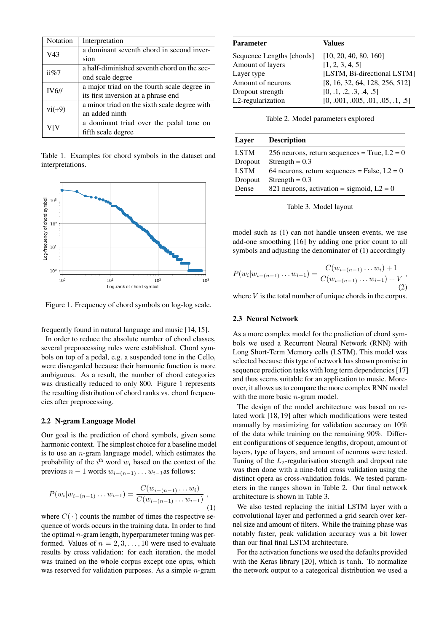<span id="page-1-0"></span>

| Notation | Interpretation                               |
|----------|----------------------------------------------|
| V43      | a dominant seventh chord in second inver-    |
|          | sion                                         |
| $ii\%7$  | a half-diminished seventh chord on the sec-  |
|          | ond scale degree                             |
| IV6/     | a major triad on the fourth scale degree in  |
|          | its first inversion at a phrase end          |
| $vi(+9)$ | a minor triad on the sixth scale degree with |
|          | an added ninth                               |
| VſV      | a dominant triad over the pedal tone on      |
|          | fifth scale degree                           |

Table 1. Examples for chord symbols in the dataset and interpretations.

<span id="page-1-1"></span>

Figure 1. Frequency of chord symbols on log-log scale.

frequently found in natural language and music [\[14,](#page-3-11) [15\]](#page-3-12).

In order to reduce the absolute number of chord classes, several preprocessing rules were established. Chord symbols on top of a pedal, e.g. a suspended tone in the Cello, were disregarded because their harmonic function is more ambiguous. As a result, the number of chord categories was drastically reduced to only 800. Figure [1](#page-1-1) represents the resulting distribution of chord ranks vs. chord frequencies after preprocessing.

### 2.2 N-gram Language Model

Our goal is the prediction of chord symbols, given some harmonic context. The simplest choice for a baseline model is to use an  $n$ -gram language model, which estimates the probability of the  $i^{\text{th}}$  word  $w_i$  based on the context of the previous  $n - 1$  words  $w_{i-(n-1)} \dots w_{i-1}$ as follows:

$$
P(w_i|w_{i-(n-1)}\dots w_{i-1}) = \frac{C(w_{i-(n-1)}\dots w_i)}{C(w_{i-(n-1)}\dots w_{i-1})},
$$
\n(1)

where  $C(\cdot)$  counts the number of times the respective sequence of words occurs in the training data. In order to find the optimal  $n$ -gram length, hyperparameter tuning was performed. Values of  $n = 2, 3, \ldots, 10$  were used to evaluate results by cross validation: for each iteration, the model was trained on the whole corpus except one opus, which was reserved for validation purposes. As a simple  $n$ -gram

<span id="page-1-3"></span>

| <b>Parameter</b>          | Values                            |
|---------------------------|-----------------------------------|
| Sequence Lengths [chords] | [10, 20, 40, 80, 160]             |
| Amount of layers          | [1, 2, 3, 4, 5]                   |
| Layer type                | [LSTM, Bi-directional LSTM]       |
| Amount of neurons         | [8, 16, 32, 64, 128, 256, 512]    |
| Dropout strength          | [0, .1, .2, .3, .4, .5]           |
| L2-regularization         | [0, .001, .005, .01, .05, .1, .5] |

Table 2. Model parameters explored

<span id="page-1-4"></span>

| Layer       | <b>Description</b>                             |
|-------------|------------------------------------------------|
| <b>LSTM</b> | 256 neurons, return sequences = True, $L2 = 0$ |
| Dropout     | Strength = $0.3$                               |
| <b>LSTM</b> | 64 neurons, return sequences = False, $L2 = 0$ |
| Dropout     | Strength = $0.3$                               |
| Dense       | 821 neurons, activation = sigmoid, $L2 = 0$    |

Table 3. Model layout

model such as [\(1\)](#page-1-2) can not handle unseen events, we use add-one smoothing [\[16\]](#page-3-13) by adding one prior count to all symbols and adjusting the denominator of [\(1\)](#page-1-2) accordingly

$$
P(w_i|w_{i-(n-1)}\dots w_{i-1}) = \frac{C(w_{i-(n-1)}\dots w_i) + 1}{C(w_{i-(n-1)}\dots w_{i-1}) + V},
$$
\n(2)

where  $V$  is the total number of unique chords in the corpus.

# 2.3 Neural Network

As a more complex model for the prediction of chord symbols we used a Recurrent Neural Network (RNN) with Long Short-Term Memory cells (LSTM). This model was selected because this type of network has shown promise in sequence prediction tasks with long term dependencies [\[17\]](#page-3-14) and thus seems suitable for an application to music. Moreover, it allows us to compare the more complex RNN model with the more basic *n*-gram model.

The design of the model architecture was based on related work [\[18,](#page-3-15) [19\]](#page-3-16) after which modifications were tested manually by maximizing for validation accuracy on 10% of the data while training on the remaining 90%. Different configurations of sequence lengths, dropout, amount of layers, type of layers, and amount of neurons were tested. Tuning of the  $L_2$ -regularisation strength and dropout rate was then done with a nine-fold cross validation using the distinct opera as cross-validation folds. We tested parameters in the ranges shown in Table [2.](#page-1-3) Our final network architecture is shown in Table [3.](#page-1-4)

<span id="page-1-2"></span>We also tested replacing the initial LSTM layer with a convolutional layer and performed a grid search over kernel size and amount of filters. While the training phase was notably faster, peak validation accuracy was a bit lower than our final final LSTM architecture.

For the activation functions we used the defaults provided with the Keras library [\[20\]](#page-3-17), which is tanh. To normalize the network output to a categorical distribution we used a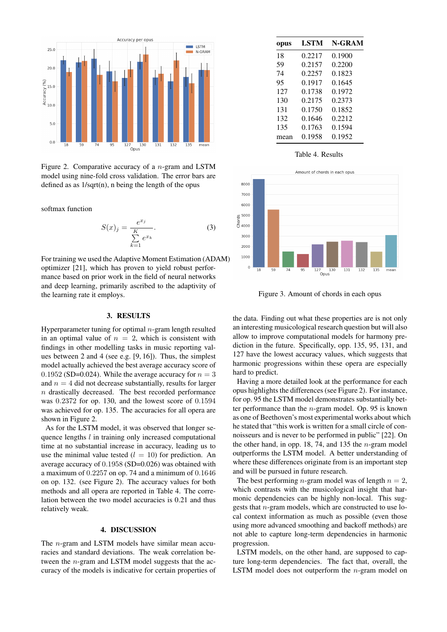<span id="page-2-0"></span>

Figure 2. Comparative accuracy of a n-gram and LSTM model using nine-fold cross validation. The error bars are defined as as  $1/\sqrt{sqrt(n)}$ , n being the length of the opus

softmax function

$$
S(x)_j = \frac{e^{x_j}}{\sum\limits_{k=1}^K e^{x_k}}.
$$
 (3)

For training we used the Adaptive Moment Estimation (ADAM) optimizer [\[21\]](#page-4-0), which has proven to yield robust performance based on prior work in the field of neural networks and deep learning, primarily ascribed to the adaptivity of the learning rate it employs.

# 3. RESULTS

Hyperparameter tuning for optimal  $n$ -gram length resulted in an optimal value of  $n = 2$ , which is consistent with findings in other modelling tasks in music reporting values between 2 and 4 (see e.g. [\[9,](#page-3-6) [16\]](#page-3-13)). Thus, the simplest model actually achieved the best average accuracy score of 0.1952 (SD=0.024). While the average accuracy for  $n = 3$ and  $n = 4$  did not decrease substantially, results for larger n drastically decreased. The best recorded performance was 0.2372 for op. 130, and the lowest score of 0.1594 was achieved for op. 135. The accuracies for all opera are shown in Figure [2.](#page-2-0)

As for the LSTM model, it was observed that longer sequence lengths l in training only increased computational time at no substantial increase in accuracy, leading us to use the minimal value tested  $(l = 10)$  for prediction. An average accuracy of 0.1958 (SD=0.026) was obtained with a maximum of 0.2257 on op. 74 and a minimum of 0.1646 on op. 132. (see Figure [2\)](#page-2-0). The accuracy values for both methods and all opera are reported in Table [4.](#page-2-1) The correlation between the two model accuracies is 0.21 and thus relatively weak.

### 4. DISCUSSION

The n-gram and LSTM models have similar mean accuracies and standard deviations. The weak correlation between the n-gram and LSTM model suggests that the accuracy of the models is indicative for certain properties of

<span id="page-2-1"></span>

| opus | <b>LSTM</b> | N-GRAM |
|------|-------------|--------|
| 18   | 0.2217      | 0.1900 |
| 59   | 0.2157      | 0.2200 |
| 74   | 0.2257      | 0.1823 |
| 95   | 0.1917      | 0.1645 |
| 127  | 0.1738      | 0.1972 |
| 130  | 0.2175      | 0.2373 |
| 131  | 0.1750      | 0.1852 |
| 132  | 0.1646      | 0.2212 |
| 135  | 0.1763      | 0.1594 |
| mean | 0.1958      | 0.1952 |
|      |             |        |

Table 4. Results



Figure 3. Amount of chords in each opus

the data. Finding out what these properties are is not only an interesting musicological research question but will also allow to improve computational models for harmony prediction in the future. Specifically, opp. 135, 95, 131, and 127 have the lowest accuracy values, which suggests that harmonic progressions within these opera are especially hard to predict.

Having a more detailed look at the performance for each opus highlights the differences (see Figure [2\)](#page-2-0). For instance, for op. 95 the LSTM model demonstrates substantially better performance than the  $n$ -gram model. Op. 95 is known as one of Beethoven's most experimental works about which he stated that "this work is written for a small circle of connoisseurs and is never to be performed in public" [\[22\]](#page-4-1). On the other hand, in opp. 18, 74, and 135 the  $n$ -gram model outperforms the LSTM model. A better understanding of where these differences originate from is an important step and will be pursued in future research.

The best performing *n*-gram model was of length  $n = 2$ , which contrasts with the musicological insight that harmonic dependencies can be highly non-local. This suggests that n-gram models, which are constructed to use local context information as much as possible (even those using more advanced smoothing and backoff methods) are not able to capture long-term dependencies in harmonic progression.

LSTM models, on the other hand, are supposed to capture long-term dependencies. The fact that, overall, the LSTM model does not outperform the  $n$ -gram model on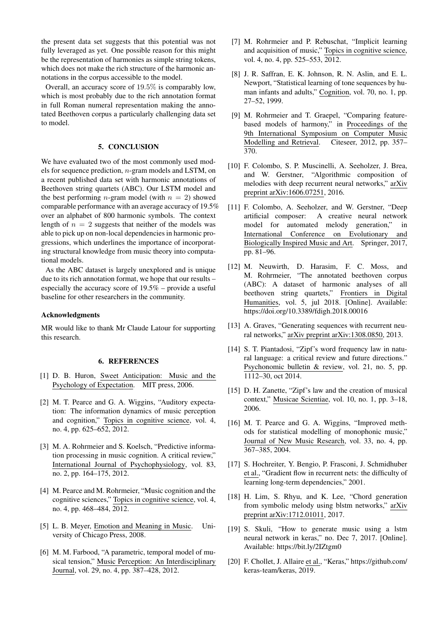the present data set suggests that this potential was not fully leveraged as yet. One possible reason for this might be the representation of harmonies as simple string tokens, which does not make the rich structure of the harmonic annotations in the corpus accessible to the model.

Overall, an accuracy score of 19.5% is comparably low, which is most probably due to the rich annotation format in full Roman numeral representation making the annotated Beethoven corpus a particularly challenging data set to model.

#### 5. CONCLUSION

We have evaluated two of the most commonly used models for sequence prediction, n-gram models and LSTM, on a recent published data set with harmonic annotations of Beethoven string quartets (ABC). Our LSTM model and the best performing *n*-gram model (with  $n = 2$ ) showed comparable performance with an average accuracy of 19.5% over an alphabet of 800 harmonic symbols. The context length of  $n = 2$  suggests that neither of the models was able to pick up on non-local dependencies in harmonic progressions, which underlines the importance of incorporating structural knowledge from music theory into computational models.

As the ABC dataset is largely unexplored and is unique due to its rich annotation format, we hope that our results – especially the accuracy score of 19.5% – provide a useful baseline for other researchers in the community.

#### Acknowledgments

MR would like to thank Mr Claude Latour for supporting this research.

#### 6. REFERENCES

- <span id="page-3-0"></span>[1] D. B. Huron, Sweet Anticipation: Music and the Psychology of Expectation. MIT press, 2006.
- [2] M. T. Pearce and G. A. Wiggins, "Auditory expectation: The information dynamics of music perception and cognition," Topics in cognitive science, vol. 4, no. 4, pp. 625–652, 2012.
- [3] M. A. Rohrmeier and S. Koelsch, "Predictive information processing in music cognition. A critical review," International Journal of Psychophysiology, vol. 83, no. 2, pp. 164–175, 2012.
- <span id="page-3-1"></span>[4] M. Pearce and M. Rohrmeier, "Music cognition and the cognitive sciences," Topics in cognitive science, vol. 4, no. 4, pp. 468–484, 2012.
- <span id="page-3-2"></span>[5] L. B. Meyer, Emotion and Meaning in Music. University of Chicago Press, 2008.
- <span id="page-3-3"></span>[6] M. M. Farbood, "A parametric, temporal model of musical tension," Music Perception: An Interdisciplinary Journal, vol. 29, no. 4, pp. 387–428, 2012.
- <span id="page-3-4"></span>[7] M. Rohrmeier and P. Rebuschat, "Implicit learning and acquisition of music," Topics in cognitive science, vol. 4, no. 4, pp. 525–553, 2012.
- <span id="page-3-5"></span>[8] J. R. Saffran, E. K. Johnson, R. N. Aslin, and E. L. Newport, "Statistical learning of tone sequences by human infants and adults," Cognition, vol. 70, no. 1, pp. 27–52, 1999.
- <span id="page-3-6"></span>[9] M. Rohrmeier and T. Graepel, "Comparing featurebased models of harmony," in Proceedings of the 9th International Symposium on Computer Music Modelling and Retrieval. Citeseer, 2012, pp. 357– 370.
- <span id="page-3-7"></span>[10] F. Colombo, S. P. Muscinelli, A. Seeholzer, J. Brea, and W. Gerstner, "Algorithmic composition of melodies with deep recurrent neural networks," arXiv preprint arXiv:1606.07251, 2016.
- <span id="page-3-8"></span>[11] F. Colombo, A. Seeholzer, and W. Gerstner, "Deep artificial composer: A creative neural network model for automated melody generation," in International Conference on Evolutionary and Biologically Inspired Music and Art. Springer, 2017, pp. 81–96.
- <span id="page-3-9"></span>[12] M. Neuwirth, D. Harasim, F. C. Moss, and M. Rohrmeier, "The annotated beethoven corpus (ABC): A dataset of harmonic analyses of all beethoven string quartets," Frontiers in Digital Humanities, vol. 5, jul 2018. [Online]. Available: <https://doi.org/10.3389/fdigh.2018.00016>
- <span id="page-3-10"></span>[13] A. Graves, "Generating sequences with recurrent neural networks," arXiv preprint arXiv:1308.0850, 2013.
- <span id="page-3-11"></span>[14] S. T. Piantadosi, "Zipf's word frequency law in natural language: a critical review and future directions." Psychonomic bulletin & review, vol. 21, no. 5, pp. 1112–30, oct 2014.
- <span id="page-3-12"></span>[15] D. H. Zanette, "Zipf's law and the creation of musical context," Musicae Scientiae, vol. 10, no. 1, pp. 3–18, 2006.
- <span id="page-3-13"></span>[16] M. T. Pearce and G. A. Wiggins, "Improved methods for statistical modelling of monophonic music," Journal of New Music Research, vol. 33, no. 4, pp. 367–385, 2004.
- <span id="page-3-14"></span>[17] S. Hochreiter, Y. Bengio, P. Frasconi, J. Schmidhuber et al., "Gradient flow in recurrent nets: the difficulty of learning long-term dependencies," 2001.
- <span id="page-3-15"></span>[18] H. Lim, S. Rhyu, and K. Lee, "Chord generation from symbolic melody using blstm networks," arXiv preprint arXiv:1712.01011, 2017.
- <span id="page-3-16"></span>[19] S. Skuli, "How to generate music using a lstm neural network in keras," no. Dec 7, 2017. [Online]. Available: <https://bit.ly/2IZtgm0>
- <span id="page-3-17"></span>[20] F. Chollet, J. Allaire et al., "Keras," [https://github.com/](https://github.com/keras-team/keras) [keras-team/keras,](https://github.com/keras-team/keras) 2019.